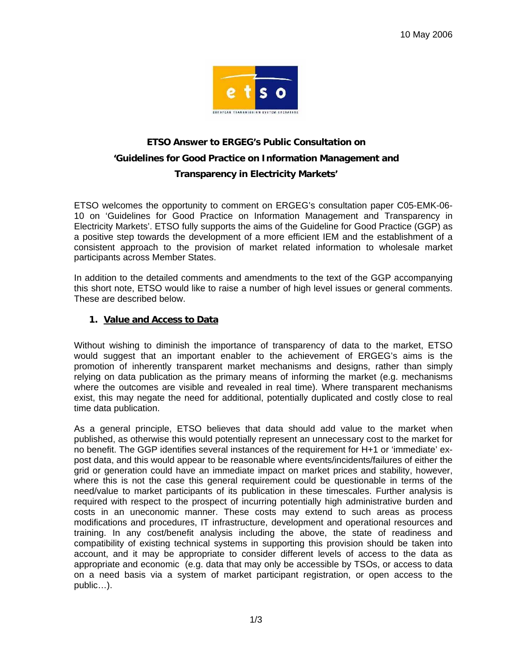

# **ETSO Answer to ERGEG's Public Consultation on 'Guidelines for Good Practice on Information Management and Transparency in Electricity Markets'**

ETSO welcomes the opportunity to comment on ERGEG's consultation paper C05-EMK-06- 10 on 'Guidelines for Good Practice on Information Management and Transparency in Electricity Markets'. ETSO fully supports the aims of the Guideline for Good Practice (GGP) as a positive step towards the development of a more efficient IEM and the establishment of a consistent approach to the provision of market related information to wholesale market participants across Member States.

In addition to the detailed comments and amendments to the text of the GGP accompanying this short note, ETSO would like to raise a number of high level issues or general comments. These are described below.

#### **1. Value and Access to Data**

Without wishing to diminish the importance of transparency of data to the market, ETSO would suggest that an important enabler to the achievement of ERGEG's aims is the promotion of inherently transparent market mechanisms and designs, rather than simply relying on data publication as the primary means of informing the market (e.g. mechanisms where the outcomes are visible and revealed in real time). Where transparent mechanisms exist, this may negate the need for additional, potentially duplicated and costly close to real time data publication.

As a general principle, ETSO believes that data should add value to the market when published, as otherwise this would potentially represent an unnecessary cost to the market for no benefit. The GGP identifies several instances of the requirement for H+1 or 'immediate' expost data, and this would appear to be reasonable where events/incidents/failures of either the grid or generation could have an immediate impact on market prices and stability, however, where this is not the case this general requirement could be questionable in terms of the need/value to market participants of its publication in these timescales. Further analysis is required with respect to the prospect of incurring potentially high administrative burden and costs in an uneconomic manner. These costs may extend to such areas as process modifications and procedures, IT infrastructure, development and operational resources and training. In any cost/benefit analysis including the above, the state of readiness and compatibility of existing technical systems in supporting this provision should be taken into account, and it may be appropriate to consider different levels of access to the data as appropriate and economic (e.g. data that may only be accessible by TSOs, or access to data on a need basis via a system of market participant registration, or open access to the public…).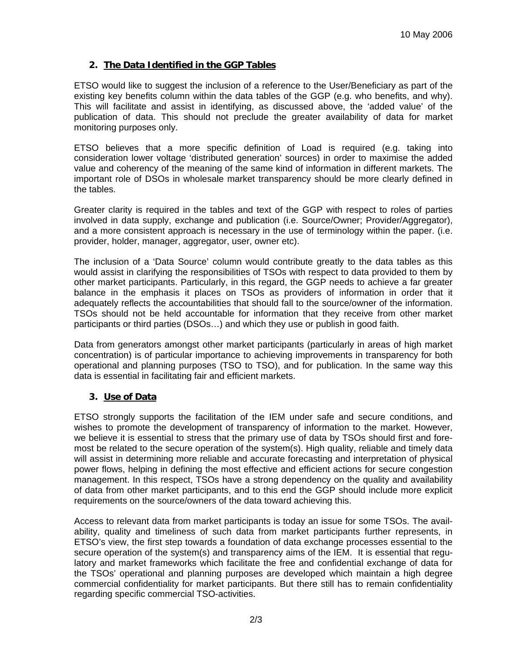## **2. The Data Identified in the GGP Tables**

ETSO would like to suggest the inclusion of a reference to the User/Beneficiary as part of the existing key benefits column within the data tables of the GGP (e.g. who benefits, and why). This will facilitate and assist in identifying, as discussed above, the 'added value' of the publication of data. This should not preclude the greater availability of data for market monitoring purposes only.

ETSO believes that a more specific definition of Load is required (e.g. taking into consideration lower voltage 'distributed generation' sources) in order to maximise the added value and coherency of the meaning of the same kind of information in different markets. The important role of DSOs in wholesale market transparency should be more clearly defined in the tables.

Greater clarity is required in the tables and text of the GGP with respect to roles of parties involved in data supply, exchange and publication (i.e. Source/Owner; Provider/Aggregator), and a more consistent approach is necessary in the use of terminology within the paper. (i.e. provider, holder, manager, aggregator, user, owner etc).

The inclusion of a 'Data Source' column would contribute greatly to the data tables as this would assist in clarifying the responsibilities of TSOs with respect to data provided to them by other market participants. Particularly, in this regard, the GGP needs to achieve a far greater balance in the emphasis it places on TSOs as providers of information in order that it adequately reflects the accountabilities that should fall to the source/owner of the information. TSOs should not be held accountable for information that they receive from other market participants or third parties (DSOs…) and which they use or publish in good faith.

Data from generators amongst other market participants (particularly in areas of high market concentration) is of particular importance to achieving improvements in transparency for both operational and planning purposes (TSO to TSO), and for publication. In the same way this data is essential in facilitating fair and efficient markets.

#### **3. Use of Data**

ETSO strongly supports the facilitation of the IEM under safe and secure conditions, and wishes to promote the development of transparency of information to the market. However, we believe it is essential to stress that the primary use of data by TSOs should first and foremost be related to the secure operation of the system(s). High quality, reliable and timely data will assist in determining more reliable and accurate forecasting and interpretation of physical power flows, helping in defining the most effective and efficient actions for secure congestion management. In this respect, TSOs have a strong dependency on the quality and availability of data from other market participants, and to this end the GGP should include more explicit requirements on the source/owners of the data toward achieving this.

Access to relevant data from market participants is today an issue for some TSOs. The availability, quality and timeliness of such data from market participants further represents, in ETSO's view, the first step towards a foundation of data exchange processes essential to the secure operation of the system(s) and transparency aims of the IEM. It is essential that regulatory and market frameworks which facilitate the free and confidential exchange of data for the TSOs' operational and planning purposes are developed which maintain a high degree commercial confidentiality for market participants. But there still has to remain confidentiality regarding specific commercial TSO-activities.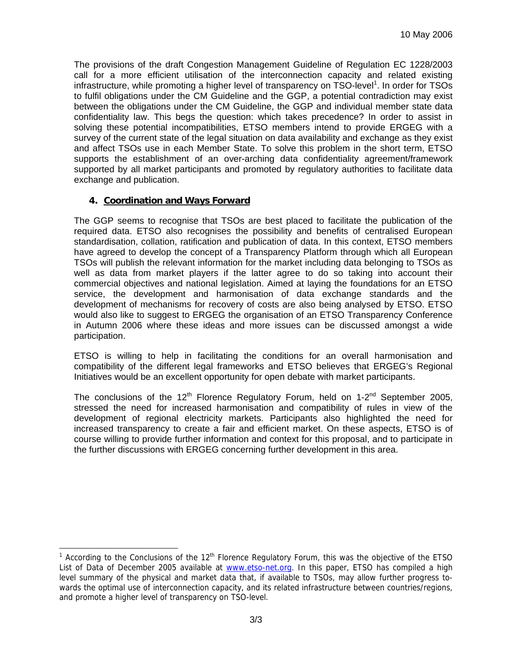The provisions of the draft Congestion Management Guideline of Regulation EC 1228/2003 call for a more efficient utilisation of the interconnection capacity and related existing infrastructure, while promoting a higher level of transparency on TSO-level<sup>1</sup>. In order for TSOs to fulfil obligations under the CM Guideline and the GGP, a potential contradiction may exist between the obligations under the CM Guideline, the GGP and individual member state data confidentiality law. This begs the question: which takes precedence? In order to assist in solving these potential incompatibilities, ETSO members intend to provide ERGEG with a survey of the current state of the legal situation on data availability and exchange as they exist and affect TSOs use in each Member State. To solve this problem in the short term, ETSO supports the establishment of an over-arching data confidentiality agreement/framework supported by all market participants and promoted by regulatory authorities to facilitate data exchange and publication.

# **4. Coordination and Ways Forward**

The GGP seems to recognise that TSOs are best placed to facilitate the publication of the required data. ETSO also recognises the possibility and benefits of centralised European standardisation, collation, ratification and publication of data. In this context, ETSO members have agreed to develop the concept of a Transparency Platform through which all European TSOs will publish the relevant information for the market including data belonging to TSOs as well as data from market players if the latter agree to do so taking into account their commercial objectives and national legislation. Aimed at laying the foundations for an ETSO service, the development and harmonisation of data exchange standards and the development of mechanisms for recovery of costs are also being analysed by ETSO. ETSO would also like to suggest to ERGEG the organisation of an ETSO Transparency Conference in Autumn 2006 where these ideas and more issues can be discussed amongst a wide participation.

ETSO is willing to help in facilitating the conditions for an overall harmonisation and compatibility of the different legal frameworks and ETSO believes that ERGEG's Regional Initiatives would be an excellent opportunity for open debate with market participants.

The conclusions of the 12<sup>th</sup> Florence Regulatory Forum, held on 1-2<sup>nd</sup> September 2005, stressed the need for increased harmonisation and compatibility of rules in view of the development of regional electricity markets. Participants also highlighted the need for increased transparency to create a fair and efficient market. On these aspects, ETSO is of course willing to provide further information and context for this proposal, and to participate in the further discussions with ERGEG concerning further development in this area.

<sup>&</sup>lt;sup>1</sup> According to the Conclusions of the 12<sup>th</sup> Florence Regulatory Forum, this was the objective of the ETSO List of Data of December 2005 available at www.etso-net.org. In this paper, ETSO has compiled a high level summary of the physical and market data that, if available to TSOs, may allow further progress towards the optimal use of interconnection capacity, and its related infrastructure between countries/regions, and promote a higher level of transparency on TSO-level.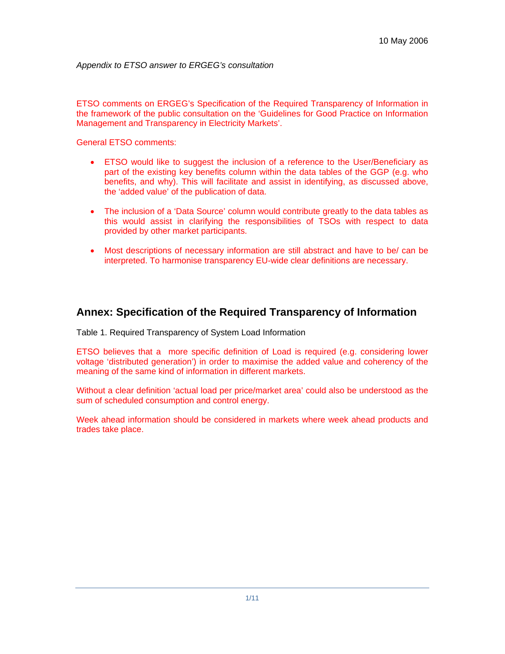*Appendix to ETSO answer to ERGEG's consultation* 

ETSO comments on ERGEG's Specification of the Required Transparency of Information in the framework of the public consultation on the 'Guidelines for Good Practice on Information Management and Transparency in Electricity Markets'.

General ETSO comments:

- ETSO would like to suggest the inclusion of a reference to the User/Beneficiary as part of the existing key benefits column within the data tables of the GGP (e.g. who benefits, and why). This will facilitate and assist in identifying, as discussed above, the 'added value' of the publication of data.
- The inclusion of a 'Data Source' column would contribute greatly to the data tables as this would assist in clarifying the responsibilities of TSOs with respect to data provided by other market participants.
- Most descriptions of necessary information are still abstract and have to be/ can be interpreted. To harmonise transparency EU-wide clear definitions are necessary.

# **Annex: Specification of the Required Transparency of Information**

Table 1. Required Transparency of System Load Information

ETSO believes that a more specific definition of Load is required (e.g. considering lower voltage 'distributed generation') in order to maximise the added value and coherency of the meaning of the same kind of information in different markets.

Without a clear definition 'actual load per price/market area' could also be understood as the sum of scheduled consumption and control energy.

Week ahead information should be considered in markets where week ahead products and trades take place.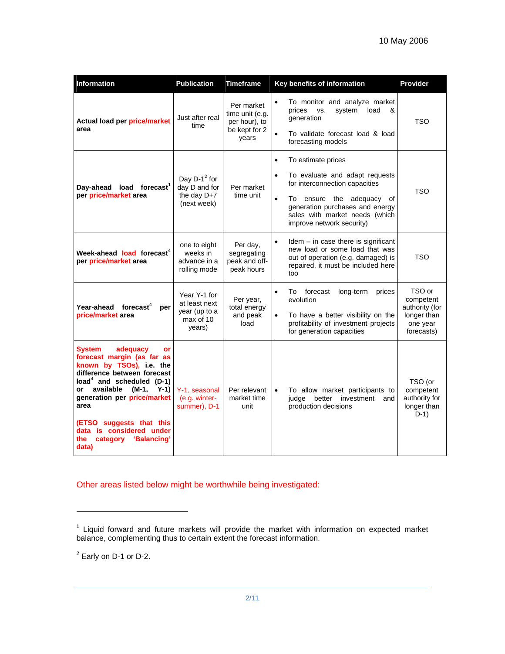| Information                                                                                                                                                                                                                                                                                                                                          | <b>Publication</b>                                                    | <b>Timeframe</b>                                                                                                                                                                                                                         | Key benefits of information                                                                                                                                                                                                                                  | Provider                                                                       |
|------------------------------------------------------------------------------------------------------------------------------------------------------------------------------------------------------------------------------------------------------------------------------------------------------------------------------------------------------|-----------------------------------------------------------------------|------------------------------------------------------------------------------------------------------------------------------------------------------------------------------------------------------------------------------------------|--------------------------------------------------------------------------------------------------------------------------------------------------------------------------------------------------------------------------------------------------------------|--------------------------------------------------------------------------------|
| Actual load per price/market<br>area                                                                                                                                                                                                                                                                                                                 | Just after real<br>time                                               | Per market<br>time unit (e.g.<br>per hour), to<br>be kept for 2<br>years                                                                                                                                                                 | To monitor and analyze market<br>$\bullet$<br>prices<br>VS.<br>system<br>load<br>&<br>generation<br>To validate forecast load & load<br>$\bullet$<br>forecasting models                                                                                      | TSO                                                                            |
| Day-ahead load forecast <sup>1</sup><br>per price/market area                                                                                                                                                                                                                                                                                        | Day D-1 $^2$ for<br>day D and for<br>the day D+7<br>(next week)       | Per market<br>time unit                                                                                                                                                                                                                  | To estimate prices<br>$\bullet$<br>$\bullet$<br>To evaluate and adapt requests<br>for interconnection capacities<br>To ensure the adequacy of<br>$\bullet$<br>generation purchases and energy<br>sales with market needs (which<br>improve network security) | <b>TSO</b>                                                                     |
| Week-ahead load forecast <sup>4</sup><br>per price/market area                                                                                                                                                                                                                                                                                       | one to eight<br>weeks in<br>advance in a<br>rolling mode              | Per day,<br>segregating<br>peak and off-<br>peak hours                                                                                                                                                                                   | $Idem - in case there is significant$<br>$\bullet$<br>new load or some load that was<br>out of operation (e.g. damaged) is<br>repaired, it must be included here<br>too                                                                                      | <b>TSO</b>                                                                     |
| Year-ahead forecast <sup>4</sup><br>per<br>price/market area                                                                                                                                                                                                                                                                                         | Year Y-1 for<br>at least next<br>year (up to a<br>max of 10<br>years) | $\bullet$<br>forecast<br>long-term<br>prices<br>To<br>Per year,<br>evolution<br>total energy<br>and peak<br>To have a better visibility on the<br>$\bullet$<br>profitability of investment projects<br>load<br>for generation capacities |                                                                                                                                                                                                                                                              | TSO or<br>competent<br>authority (for<br>longer than<br>one year<br>forecasts) |
| <b>System</b><br>adequacy<br><b>or</b><br>forecast margin (as far as<br>known by TSOs), i.e. the<br>difference between forecast<br>load <sup>4</sup> and scheduled (D-1)<br>available<br>$Y-1$<br>(M-1,<br>or<br>generation per price/market<br>area<br>(ETSO suggests that this<br>data is considered under<br>category 'Balancing'<br>the<br>data) | Y-1, seasonal<br>(e.g. winter-<br>summer), D-1                        | Per relevant<br>market time<br>unit                                                                                                                                                                                                      | To allow market participants to<br>$\bullet$<br>judge better<br>investment and<br>production decisions                                                                                                                                                       | TSO (or<br>competent<br>authority for<br>longer than<br>$D-1)$                 |

Other areas listed below might be worthwhile being investigated:

 $2$  Early on D-1 or D-2.

l

<sup>&</sup>lt;sup>1</sup> Liquid forward and future markets will provide the market with information on expected market balance, complementing thus to certain extent the forecast information.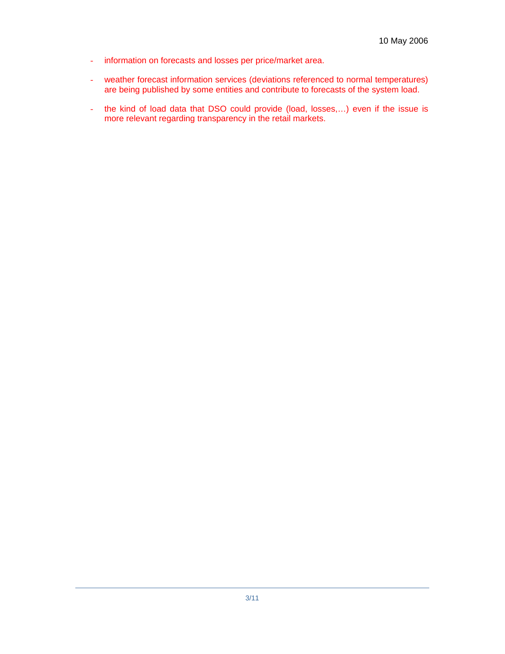- information on forecasts and losses per price/market area.
- weather forecast information services (deviations referenced to normal temperatures) are being published by some entities and contribute to forecasts of the system load.
- the kind of load data that DSO could provide (load, losses,…) even if the issue is more relevant regarding transparency in the retail markets.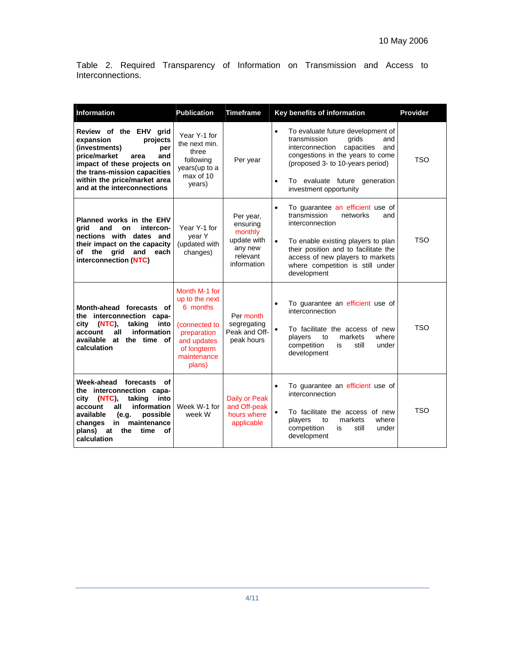Table 2. Required Transparency of Information on Transmission and Access to Interconnections.

| Information                                                                                                                                                                                                                                       | <b>Publication</b>                                                                                                                 | <b>Timeframe</b>                                                                      | Key benefits of information                                                                                                                                                                                                                                                           | <b>Provider</b> |
|---------------------------------------------------------------------------------------------------------------------------------------------------------------------------------------------------------------------------------------------------|------------------------------------------------------------------------------------------------------------------------------------|---------------------------------------------------------------------------------------|---------------------------------------------------------------------------------------------------------------------------------------------------------------------------------------------------------------------------------------------------------------------------------------|-----------------|
| Review of the EHV grid<br>expansion<br>projects<br>(investments)<br>per<br>price/market<br>and<br>area<br>impact of these projects on<br>the trans-mission capacities<br>within the price/market area<br>and at the interconnections              | Year Y-1 for<br>the next min.<br>three<br>following<br>years(up to a<br>max of 10<br>years)                                        | Per year                                                                              | To evaluate future development of<br>$\bullet$<br>transmission<br>grids<br>and<br>capacities<br>interconnection<br>and<br>congestions in the years to come<br>(proposed 3- to 10-years period)<br>To evaluate future generation<br>$\bullet$<br>investment opportunity                | <b>TSO</b>      |
| Planned works in the EHV<br>arid<br>intercon-<br>and<br>on<br>nections with dates and<br>their impact on the capacity<br>of<br>grid<br>and<br>the<br>each<br>interconnection (NTC)                                                                | Year Y-1 for<br>year Y<br>(updated with<br>changes)                                                                                | Per year,<br>ensuring<br>monthly<br>update with<br>any new<br>relevant<br>information | To guarantee an efficient use of<br>$\bullet$<br>transmission<br>networks<br>and<br>interconnection<br>To enable existing players to plan<br>$\bullet$<br>their position and to facilitate the<br>access of new players to markets<br>where competition is still under<br>development | <b>TSO</b>      |
| Month-ahead forecasts of<br>the interconnection capa-<br>(NTC),<br>taking<br>into<br>city<br>information<br>all<br>account<br>available at the time of<br>calculation                                                                             | Month M-1 for<br>up to the next<br>6 months<br>(connected to<br>preparation<br>and updates<br>of longterm<br>maintenance<br>plans) | Per month<br>segregating<br>Peak and Off-<br>peak hours                               | To guarantee an efficient use of<br>$\bullet$<br>interconnection<br>To facilitate the access of new<br>$\bullet$<br>where<br>players<br>markets<br>to<br>still<br>competition<br>is<br>under<br>development                                                                           | TSO             |
| Week-ahead forecasts<br>of<br>the interconnection capa-<br>into<br>city<br>(NTC)<br>taking<br>information<br>account<br>all<br>available<br>possible<br>(e.g.<br>maintenance<br>changes<br>in<br>plans)<br>time<br>at<br>the<br>οf<br>calculation | Week W-1 for<br>week W                                                                                                             | Daily or Peak<br>and Off-peak<br>hours where<br>applicable                            | To guarantee an efficient use of<br>$\bullet$<br>interconnection<br>To facilitate the access of new<br>$\bullet$<br>markets<br>where<br>players<br>to<br>competition<br>still<br>is<br>under<br>development                                                                           | <b>TSO</b>      |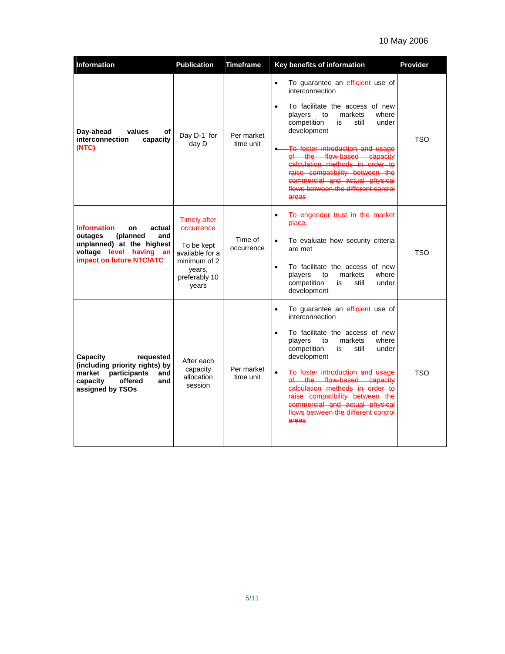# 10 May 2006

| Information                                                                                                                                          | <b>Publication</b>                                                                                                     | <b>Timeframe</b>        | Key benefits of information                                                                                                                                                                                                                                                                                                                                                                                                                        | Provider   |
|------------------------------------------------------------------------------------------------------------------------------------------------------|------------------------------------------------------------------------------------------------------------------------|-------------------------|----------------------------------------------------------------------------------------------------------------------------------------------------------------------------------------------------------------------------------------------------------------------------------------------------------------------------------------------------------------------------------------------------------------------------------------------------|------------|
| Day-ahead<br>values<br>οf<br>interconnection<br>capacity<br>(NTC)                                                                                    | Day D-1 for<br>day D                                                                                                   | Per market<br>time unit | To guarantee an efficient use of<br>$\bullet$<br>interconnection<br>To facilitate the access of new<br>$\bullet$<br>where<br>players<br>markets<br>to<br>competition<br>still<br>under<br>is<br>development<br>To foster introduction and usage<br>$\bullet$<br>of the flow-based capacity<br>calculation methods in order to<br>raise compatibility between the<br>commercial and actual physical<br>flows between the different control<br>areas | <b>TSO</b> |
| <b>Information</b><br>actual<br>on<br>outages<br>(planned<br>and<br>unplanned) at the highest<br>voltage level having an<br>impact on future NTC/ATC | <b>Timely after</b><br>occurrence<br>To be kept<br>available for a<br>minimum of 2<br>years,<br>preferably 10<br>years | Time of<br>occurrence   | To engender trust in the market<br>$\bullet$<br>place.<br>To evaluate how security criteria<br>$\bullet$<br>are met<br>To facilitate the access of new<br>$\bullet$<br>players<br>markets<br>where<br>to<br>competition<br>under<br>is<br>still<br>development                                                                                                                                                                                     | <b>TSO</b> |
| Capacity<br>requested<br>(including priority rights) by<br>participants<br>market<br>and<br>capacity<br>offered<br>and<br>assigned by TSOs           | After each<br>capacity<br>allocation<br>session                                                                        | Per market<br>time unit | To guarantee an efficient use of<br>$\bullet$<br>interconnection<br>To facilitate the access of new<br>$\bullet$<br>players<br>where<br>markets<br>to<br>competition<br>is<br>still<br>under<br>development<br>$\bullet$<br>To foster introduction and usage<br>of the flow-based capacity<br>calculation methods in order to<br>raise compatibility between the<br>commercial and actual physical<br>flows between the different control<br>areas | <b>TSO</b> |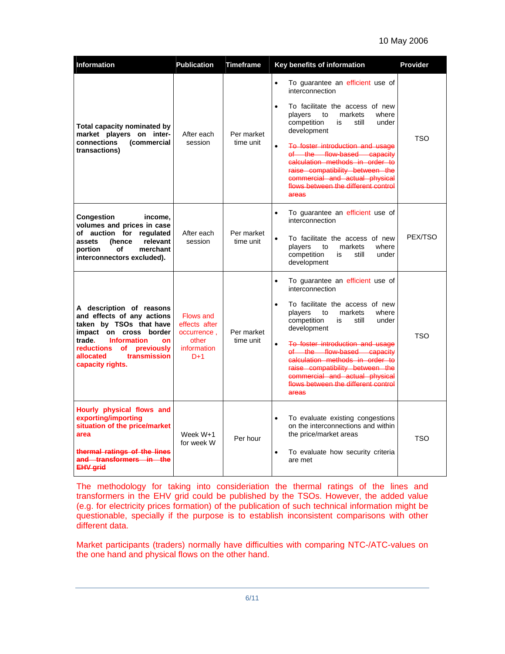#### 10 May 2006

| Information                                                                                                                                                                                                                       | <b>Publication</b>                                                                | <b>Timeframe</b>        | Key benefits of information                                                                                                                                                                                                                                                                                                                                                                                                                        | Provider   |
|-----------------------------------------------------------------------------------------------------------------------------------------------------------------------------------------------------------------------------------|-----------------------------------------------------------------------------------|-------------------------|----------------------------------------------------------------------------------------------------------------------------------------------------------------------------------------------------------------------------------------------------------------------------------------------------------------------------------------------------------------------------------------------------------------------------------------------------|------------|
| <b>Total capacity nominated by</b><br>market players on inter-<br>(commercial<br>connections<br>transactions)                                                                                                                     | After each<br>session                                                             | Per market<br>time unit | To guarantee an efficient use of<br>$\bullet$<br>interconnection<br>To facilitate the access of new<br>$\bullet$<br>players<br>markets<br>where<br>to<br>competition<br>still<br>under<br>is<br>development<br>To foster introduction and usage<br>$\bullet$<br>of the flow-based capacity<br>calculation methods in order to<br>raise compatibility between the<br>commercial and actual physical<br>flows between the different control<br>areas | <b>TSO</b> |
| Congestion<br>income.<br>volumes and prices in case<br>of auction for requlated<br>relevant<br>(hence<br>assets<br>merchant<br>portion<br>of<br>interconnectors excluded).                                                        | After each<br>session                                                             | Per market<br>time unit | To guarantee an efficient use of<br>$\bullet$<br>interconnection<br>To facilitate the access of new<br>$\bullet$<br>players<br>markets<br>where<br>to<br>competition<br>still<br>under<br>is<br>development                                                                                                                                                                                                                                        | PEX/TSO    |
| A description of reasons<br>and effects of any actions<br>taken by TSOs that have<br>impact on cross border<br>trade.<br><b>Information</b><br>on<br>reductions<br>of previously<br>transmission<br>allocated<br>capacity rights. | <b>Flows and</b><br>effects after<br>occurrence,<br>other<br>information<br>$D+1$ | Per market<br>time unit | To guarantee an efficient use of<br>$\bullet$<br>interconnection<br>To facilitate the access of new<br>$\bullet$<br>players<br>markets<br>where<br>to<br>competition<br>still<br>is<br>under<br>development<br>To foster introduction and usage<br>$\bullet$<br>of the flow-based capacity<br>calculation methods in order to<br>raise compatibility between the<br>commercial and actual physical<br>flows between the different control<br>areas | <b>TSO</b> |
| Hourly physical flows and<br>exporting/importing<br>situation of the price/market<br>area<br>thermal ratings of the lines<br>and transformers in the<br><b>EHV grid</b>                                                           | Week W+1<br>for week W                                                            | Per hour                | $\bullet$<br>To evaluate existing congestions<br>on the interconnections and within<br>the price/market areas<br>$\bullet$<br>To evaluate how security criteria<br>are met                                                                                                                                                                                                                                                                         | <b>TSO</b> |

The methodology for taking into consideriation the thermal ratings of the lines and transformers in the EHV grid could be published by the TSOs. However, the added value (e.g. for electricity prices formation) of the publication of such technical information might be questionable, specially if the purpose is to establish inconsistent comparisons with other different data.

Market participants (traders) normally have difficulties with comparing NTC-/ATC-values on the one hand and physical flows on the other hand.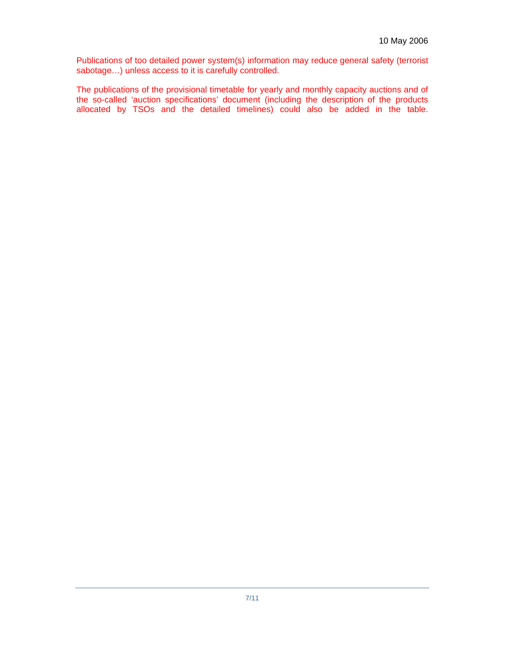Publications of too detailed power system(s) information may reduce general safety (terrorist sabotage…) unless access to it is carefully controlled.

The publications of the provisional timetable for yearly and monthly capacity auctions and of the so-called 'auction specifications' document (including the description of the products allocated by TSOs and the detailed timelines) could also be added in the table.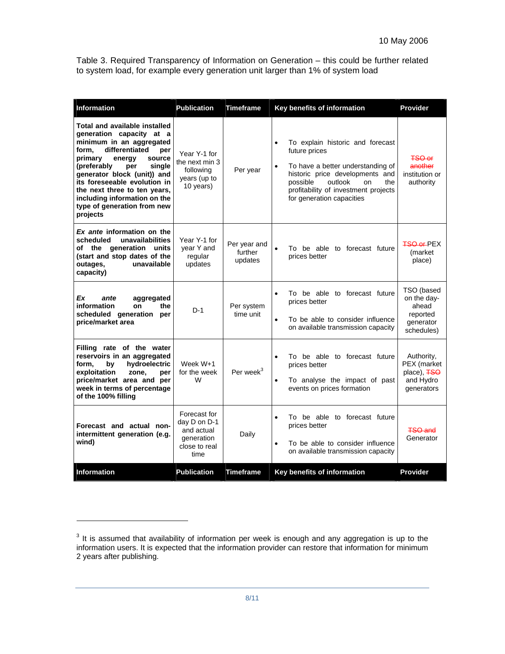Table 3. Required Transparency of Information on Generation – this could be further related to system load, for example every generation unit larger than 1% of system load

| <b>Information</b>                                                                                                                                                                                                                                                                                                                                                      | <b>Publication</b>                                                                | <b>Timeframe</b>                   | Key benefits of information                                                                                                                                                                                                                                  | <b>Provider</b>                                                           |
|-------------------------------------------------------------------------------------------------------------------------------------------------------------------------------------------------------------------------------------------------------------------------------------------------------------------------------------------------------------------------|-----------------------------------------------------------------------------------|------------------------------------|--------------------------------------------------------------------------------------------------------------------------------------------------------------------------------------------------------------------------------------------------------------|---------------------------------------------------------------------------|
| <b>Total and available installed</b><br>generation capacity at a<br>minimum in an aggregated<br>differentiated<br>per<br>form.<br>primary<br>source<br>energy<br>(preferably<br>single<br>per<br>generator block (unit)) and<br>its foreseeable evolution in<br>the next three to ten years,<br>including information on the<br>type of generation from new<br>projects | Year Y-1 for<br>the next min 3<br>following<br>years (up to<br>10 years)          | Per year                           | To explain historic and forecast<br>$\bullet$<br>future prices<br>To have a better understanding of<br>$\bullet$<br>historic price developments and<br>possible<br>outlook<br>on<br>the<br>profitability of investment projects<br>for generation capacities | <b>TSO or</b><br>another<br>institution or<br>authority                   |
| Ex ante information on the<br>unavailabilities<br>scheduled<br>of the generation units<br>(start and stop dates of the<br>unavailable<br>outages,<br>capacity)                                                                                                                                                                                                          | Year Y-1 for<br>year Y and<br>regular<br>updates                                  | Per year and<br>further<br>updates | To be able to forecast future<br>$\bullet$<br>prices better                                                                                                                                                                                                  | <b>TSO or PEX</b><br>(market<br>place)                                    |
| Ex<br>ante<br>aggregated<br>information<br>the<br>on<br>scheduled generation per<br>price/market area                                                                                                                                                                                                                                                                   | $D-1$                                                                             | Per system<br>time unit            | To be able to forecast future<br>$\bullet$<br>prices better<br>To be able to consider influence<br>$\bullet$<br>on available transmission capacity                                                                                                           | TSO (based<br>on the day-<br>ahead<br>reported<br>generator<br>schedules) |
| Filling rate of the water<br>reservoirs in an aggregated<br>hydroelectric<br>form.<br>bv<br>exploitation<br>zone.<br>per<br>price/market area and per<br>week in terms of percentage<br>of the 100% filling                                                                                                                                                             | Week W+1<br>for the week<br>W                                                     | Per week <sup>3</sup>              | To be able to forecast future<br>$\bullet$<br>prices better<br>To analyse the impact of past<br>$\bullet$<br>events on prices formation                                                                                                                      | Authority,<br>PEX (market<br>place), FSO<br>and Hydro<br>generators       |
| Forecast and actual non-<br>intermittent generation (e.g.<br>wind)                                                                                                                                                                                                                                                                                                      | Forecast for<br>day D on D-1<br>and actual<br>generation<br>close to real<br>time | Daily                              | To be able to forecast future<br>$\bullet$<br>prices better<br>To be able to consider influence<br>$\bullet$<br>on available transmission capacity                                                                                                           | <b>TSO and</b><br>Generator                                               |
| <b>Information</b>                                                                                                                                                                                                                                                                                                                                                      | <b>Publication</b>                                                                | <b>Timeframe</b>                   | Key benefits of information                                                                                                                                                                                                                                  | <b>Provider</b>                                                           |

 $\overline{a}$ 

 $3$  It is assumed that availability of information per week is enough and any aggregation is up to the information users. It is expected that the information provider can restore that information for minimum 2 years after publishing.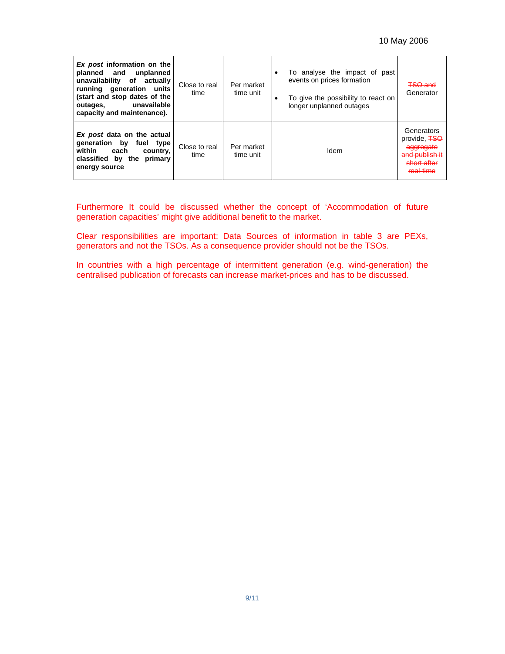| Ex post information on the<br>planned and unplanned<br>unavailability of actually<br>running generation units<br>(start and stop dates of the<br>unavailable<br>outages,<br>capacity and maintenance). | Close to real<br>time | Per market<br>time unit | To analyse the impact of past<br>٠<br>events on prices formation<br>To give the possibility to react on<br>٠<br>longer unplanned outages | <b>TSO and</b><br>Generator                                                            |
|--------------------------------------------------------------------------------------------------------------------------------------------------------------------------------------------------------|-----------------------|-------------------------|------------------------------------------------------------------------------------------------------------------------------------------|----------------------------------------------------------------------------------------|
| Ex post data on the actual<br>generation by<br>fuel type<br>within<br>each<br>country,<br>classified by<br>the<br>primary<br>energy source                                                             | Close to real<br>time | Per market<br>time unit | Idem                                                                                                                                     | Generators<br>provide, FSO<br>aggregate<br>and publish it<br>short after<br>مصنا ـلومء |

Furthermore It could be discussed whether the concept of 'Accommodation of future generation capacities' might give additional benefit to the market.

Clear responsibilities are important: Data Sources of information in table 3 are PEXs, generators and not the TSOs. As a consequence provider should not be the TSOs.

In countries with a high percentage of intermittent generation (e.g. wind-generation) the centralised publication of forecasts can increase market-prices and has to be discussed.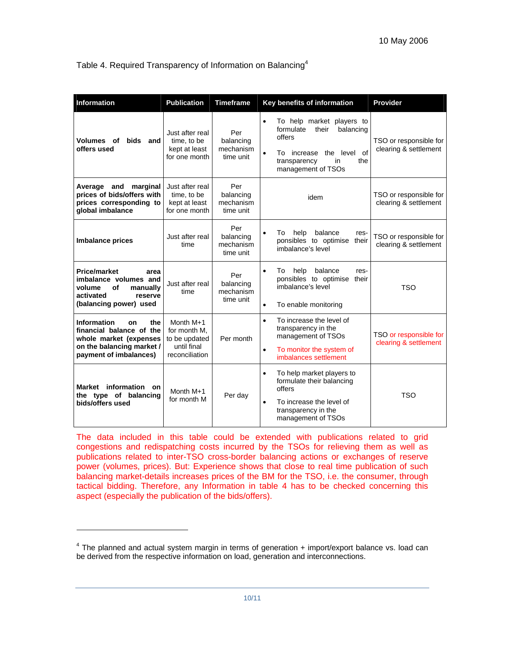Table 4. Required Transparency of Information on Balancing<sup>4</sup>

| Information                                                                                                                                  | <b>Publication</b>                                                          | <b>Timeframe</b>                           | Key benefits of information                                                                                                                                                        | Provider                                        |
|----------------------------------------------------------------------------------------------------------------------------------------------|-----------------------------------------------------------------------------|--------------------------------------------|------------------------------------------------------------------------------------------------------------------------------------------------------------------------------------|-------------------------------------------------|
| Volumes of<br><b>bids</b><br>and<br>offers used                                                                                              | Just after real<br>time, to be<br>kept at least<br>for one month            | Per<br>balancing<br>mechanism<br>time unit | To help market players to<br>$\bullet$<br>formulate<br>their<br>balancing<br>offers<br>the level of<br>$\bullet$<br>To increase<br>the<br>transparency<br>in<br>management of TSOs | TSO or responsible for<br>clearing & settlement |
| Average and marginal<br>prices of bids/offers with<br>prices corresponding to<br>global imbalance                                            | Just after real<br>time, to be<br>kept at least<br>for one month            | Per<br>balancing<br>mechanism<br>time unit | idem                                                                                                                                                                               | TSO or responsible for<br>clearing & settlement |
| <b>Imbalance prices</b>                                                                                                                      | Just after real<br>time                                                     | Per<br>balancing<br>mechanism<br>time unit | help<br>balance<br>To<br>$\bullet$<br>res-<br>ponsibles to optimise<br>their<br>imbalance's level                                                                                  | TSO or responsible for<br>clearing & settlement |
| <b>Price/market</b><br>area<br>imbalance volumes and<br>of<br>volume<br>manually<br>activated<br>reserve<br>(balancing power) used           | Just after real<br>time                                                     | Per<br>balancing<br>mechanism<br>time unit | balance<br>help<br>To<br>res-<br>$\bullet$<br>ponsibles to optimise their<br>imbalance's level<br>$\bullet$<br>To enable monitoring                                                | <b>TSO</b>                                      |
| <b>Information</b><br>the<br>on<br>financial balance of the<br>whole market (expenses<br>on the balancing market /<br>payment of imbalances) | Month M+1<br>for month M.<br>to be updated<br>until final<br>reconciliation | Per month                                  | To increase the level of<br>$\bullet$<br>transparency in the<br>management of TSOs<br>To monitor the system of<br>$\bullet$<br>imbalances settlement                               | TSO or responsible for<br>clearing & settlement |
| information<br>Market<br><b>on</b><br>the type of balancing<br>bids/offers used                                                              | Month M+1<br>for month M                                                    | Per day                                    | To help market players to<br>$\bullet$<br>formulate their balancing<br>offers<br>To increase the level of<br>$\bullet$<br>transparency in the<br>management of TSOs                | <b>TSO</b>                                      |

The data included in this table could be extended with publications related to grid congestions and redispatching costs incurred by the TSOs for relieving them as well as publications related to inter-TSO cross-border balancing actions or exchanges of reserve power (volumes, prices). But: Experience shows that close to real time publication of such balancing market-details increases prices of the BM for the TSO, i.e. the consumer, through tactical bidding. Therefore, any Information in table 4 has to be checked concerning this aspect (especially the publication of the bids/offers).

l

 $4$  The planned and actual system margin in terms of generation  $+$  import/export balance vs. load can be derived from the respective information on load, generation and interconnections.